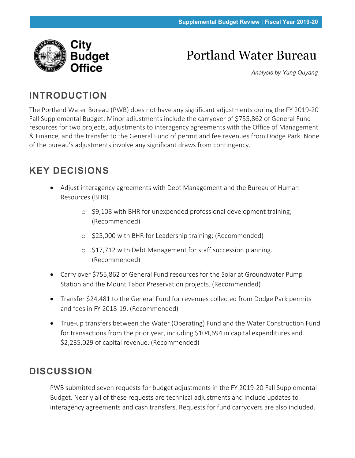

# Portland Water Bureau

*Analysis by Yung Ouyang*

## **INTRODUCTION**

The Portland Water Bureau (PWB) does not have any significant adjustments during the FY 2019-20 Fall Supplemental Budget. Minor adjustments include the carryover of \$755,862 of General Fund resources for two projects, adjustments to interagency agreements with the Office of Management & Finance, and the transfer to the General Fund of permit and fee revenues from Dodge Park. None of the bureau's adjustments involve any significant draws from contingency.

# **KEY DECISIONS**

- Adjust interagency agreements with Debt Management and the Bureau of Human Resources (BHR).
	- o \$9,108 with BHR for unexpended professional development training; (Recommended)
	- o \$25,000 with BHR for Leadership training; (Recommended)
	- o \$17,712 with Debt Management for staff succession planning. (Recommended)
- Carry over \$755,862 of General Fund resources for the Solar at Groundwater Pump Station and the Mount Tabor Preservation projects. (Recommended)
- Transfer \$24,481 to the General Fund for revenues collected from Dodge Park permits and fees in FY 2018-19. (Recommended)
- True-up transfers between the Water (Operating) Fund and the Water Construction Fund for transactions from the prior year, including \$104,694 in capital expenditures and \$2,235,029 of capital revenue. (Recommended)

## **DISCUSSION**

PWB submitted seven requests for budget adjustments in the FY 2019-20 Fall Supplemental Budget. Nearly all of these requests are technical adjustments and include updates to interagency agreements and cash transfers. Requests for fund carryovers are also included.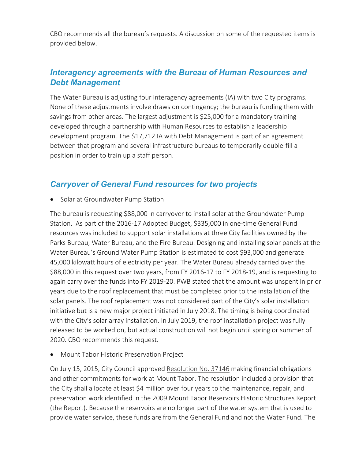CBO recommends all the bureau's requests. A discussion on some of the requested items is provided below.

#### *Interagency agreements with the Bureau of Human Resources and Debt Management*

The Water Bureau is adjusting four interagency agreements (IA) with two City programs. None of these adjustments involve draws on contingency; the bureau is funding them with savings from other areas. The largest adjustment is \$25,000 for a mandatory training developed through a partnership with Human Resources to establish a leadership development program. The \$17,712 IA with Debt Management is part of an agreement between that program and several infrastructure bureaus to temporarily double-fill a position in order to train up a staff person.

#### *Carryover of General Fund resources for two projects*

Solar at Groundwater Pump Station

The bureau is requesting \$88,000 in carryover to install solar at the Groundwater Pump Station. As part of the 2016-17 Adopted Budget, \$335,000 in one-time General Fund resources was included to support solar installations at three City facilities owned by the Parks Bureau, Water Bureau, and the Fire Bureau. Designing and installing solar panels at the Water Bureau's Ground Water Pump Station is estimated to cost \$93,000 and generate 45,000 kilowatt hours of electricity per year. The Water Bureau already carried over the \$88,000 in this request over two years, from FY 2016-17 to FY 2018-19, and is requesting to again carry over the funds into FY 2019-20. PWB stated that the amount was unspent in prior years due to the roof replacement that must be completed prior to the installation of the solar panels. The roof replacement was not considered part of the City's solar installation initiative but is a new major project initiated in July 2018. The timing is being coordinated with the City's solar array installation. In July 2019, the roof installation project was fully released to be worked on, but actual construction will not begin until spring or summer of 2020. CBO recommends this request.

• Mount Tabor Historic Preservation Project

On July 15, 2015, City Council approved [Resolution No. 37146](https://efiles.portlandoregon.gov/Record/7860074/) making financial obligations and other commitments for work at Mount Tabor. The resolution included a provision that the City shall allocate at least \$4 million over four years to the maintenance, repair, and preservation work identified in the 2009 Mount Tabor Reservoirs Historic Structures Report (the Report). Because the reservoirs are no longer part of the water system that is used to provide water service, these funds are from the General Fund and not the Water Fund. The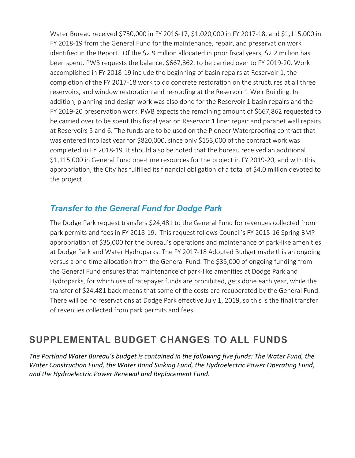Water Bureau received \$750,000 in FY 2016-17, \$1,020,000 in FY 2017-18, and \$1,115,000 in FY 2018-19 from the General Fund for the maintenance, repair, and preservation work identified in the Report. Of the \$2.9 million allocated in prior fiscal years, \$2.2 million has been spent. PWB requests the balance, \$667,862, to be carried over to FY 2019-20. Work accomplished in FY 2018-19 include the beginning of basin repairs at Reservoir 1, the completion of the FY 2017-18 work to do concrete restoration on the structures at all three reservoirs, and window restoration and re-roofing at the Reservoir 1 Weir Building. In addition, planning and design work was also done for the Reservoir 1 basin repairs and the FY 2019-20 preservation work. PWB expects the remaining amount of \$667,862 requested to be carried over to be spent this fiscal year on Reservoir 1 liner repair and parapet wall repairs at Reservoirs 5 and 6. The funds are to be used on the Pioneer Waterproofing contract that was entered into last year for \$820,000, since only \$153,000 of the contract work was completed in FY 2018-19. It should also be noted that the bureau received an additional \$1,115,000 in General Fund one-time resources for the project in FY 2019-20, and with this appropriation, the City has fulfilled its financial obligation of a total of \$4.0 million devoted to the project.

#### *Transfer to the General Fund for Dodge Park*

The Dodge Park request transfers \$24,481 to the General Fund for revenues collected from park permits and fees in FY 2018-19. This request follows Council's FY 2015-16 Spring BMP appropriation of \$35,000 for the bureau's operations and maintenance of park-like amenities at Dodge Park and Water Hydroparks. The FY 2017-18 Adopted Budget made this an ongoing versus a one-time allocation from the General Fund. The \$35,000 of ongoing funding from the General Fund ensures that maintenance of park-like amenities at Dodge Park and Hydroparks, for which use of ratepayer funds are prohibited, gets done each year, while the transfer of \$24,481 back means that some of the costs are recuperated by the General Fund. There will be no reservations at Dodge Park effective July 1, 2019, so this is the final transfer of revenues collected from park permits and fees.

## **SUPPLEMENTAL BUDGET CHANGES TO ALL FUNDS**

*The Portland Water Bureau's budget is contained in the following five funds: The Water Fund, the Water Construction Fund, the Water Bond Sinking Fund, the Hydroelectric Power Operating Fund, and the Hydroelectric Power Renewal and Replacement Fund.*